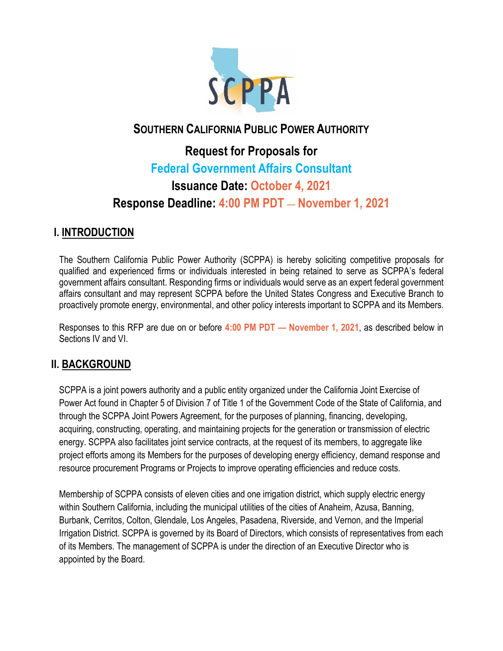

# **SOUTHERN CALIFORNIA PUBLIC POWER AUTHORITY**

# **Request for Proposals for Federal Government Affairs Consultant Issuance Date: October 4, 2021 Response Deadline: 4:00 PM PDT** — **November 1, 2021**

# **I. INTRODUCTION**

The Southern California Public Power Authority (SCPPA) is hereby soliciting competitive proposals for qualified and experienced firms or individuals interested in being retained to serve as SCPPA's federal government affairs consultant. Responding firms or individuals would serve as an expert federal government affairs consultant and may represent SCPPA before the United States Congress and Executive Branch to proactively promote energy, environmental, and other policy interests important to SCPPA and its Members.

Responses to this RFP are due on or before **4:00 PM PDT — November 1, 2021**, as described below in Sections IV and VI.

# **II. BACKGROUND**

SCPPA is a joint powers authority and a public entity organized under the California Joint Exercise of Power Act found in Chapter 5 of Division 7 of Title 1 of the Government Code of the State of California, and through the SCPPA Joint Powers Agreement, for the purposes of planning, financing, developing, acquiring, constructing, operating, and maintaining projects for the generation or transmission of electric energy. SCPPA also facilitates joint service contracts, at the request of its members, to aggregate like project efforts among its Members for the purposes of developing energy efficiency, demand response and resource procurement Programs or Projects to improve operating efficiencies and reduce costs.

Membership of SCPPA consists of eleven cities and one irrigation district, which supply electric energy within Southern California, including the municipal utilities of the cities of Anaheim, Azusa, Banning, Burbank, Cerritos, Colton, Glendale, Los Angeles, Pasadena, Riverside, and Vernon, and the Imperial Irrigation District. SCPPA is governed by its Board of Directors, which consists of representatives from each of its Members. The management of SCPPA is under the direction of an Executive Director who is appointed by the Board.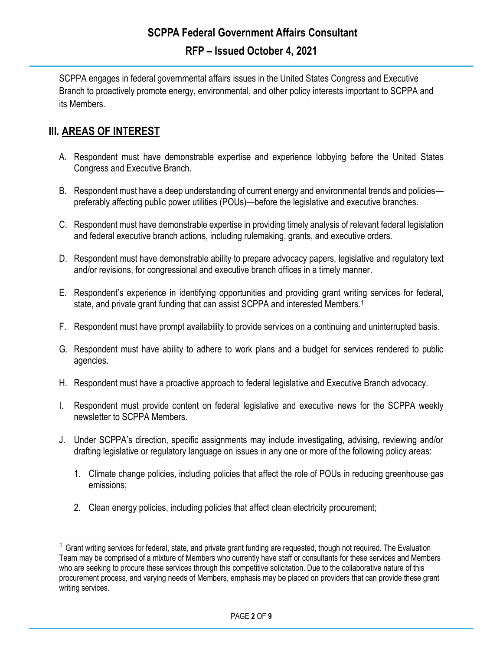SCPPA engages in federal governmental affairs issues in the United States Congress and Executive Branch to proactively promote energy, environmental, and other policy interests important to SCPPA and its Members.

# **III. AREAS OF INTEREST**

- A. Respondent must have demonstrable expertise and experience lobbying before the United States Congress and Executive Branch.
- B. Respondent must have a deep understanding of current energy and environmental trends and policies preferably affecting public power utilities (POUs)—before the legislative and executive branches.
- C. Respondent must have demonstrable expertise in providing timely analysis of relevant federal legislation and federal executive branch actions, including rulemaking, grants, and executive orders.
- D. Respondent must have demonstrable ability to prepare advocacy papers, legislative and regulatory text and/or revisions, for congressional and executive branch offices in a timely manner.
- E. Respondent's experience in identifying opportunities and providing grant writing services for federal, state, and private grant funding that can assist SCPPA and interested Members. 1
- F. Respondent must have prompt availability to provide services on a continuing and uninterrupted basis.
- G. Respondent must have ability to adhere to work plans and a budget for services rendered to public agencies.
- H. Respondent must have a proactive approach to federal legislative and Executive Branch advocacy.
- I. Respondent must provide content on federal legislative and executive news for the SCPPA weekly newsletter to SCPPA Members.
- J. Under SCPPA's direction, specific assignments may include investigating, advising, reviewing and/or drafting legislative or regulatory language on issues in any one or more of the following policy areas:
	- 1. Climate change policies, including policies that affect the role of POUs in reducing greenhouse gas emissions;
	- 2. Clean energy policies, including policies that affect clean electricity procurement;

<sup>&</sup>lt;sup>1</sup> Grant writing services for federal, state, and private grant funding are requested, though not required. The Evaluation Team may be comprised of a mixture of Members who currently have staff or consultants for these services and Members who are seeking to procure these services through this competitive solicitation. Due to the collaborative nature of this procurement process, and varying needs of Members, emphasis may be placed on providers that can provide these grant writing services.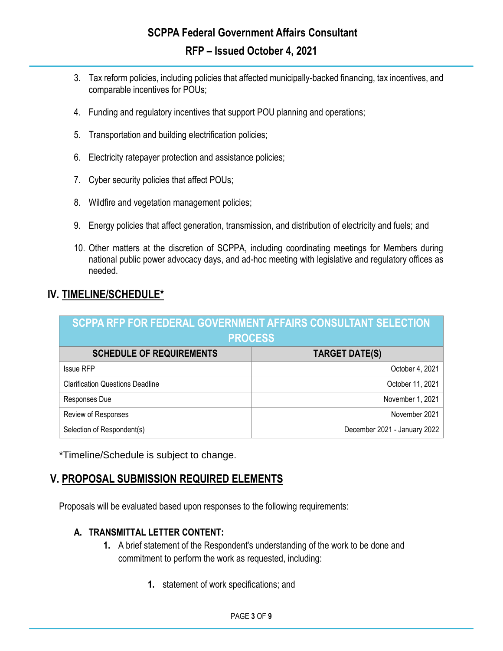- 3. Tax reform policies, including policies that affected municipally-backed financing, tax incentives, and comparable incentives for POUs;
- 4. Funding and regulatory incentives that support POU planning and operations;
- 5. Transportation and building electrification policies;
- 6. Electricity ratepayer protection and assistance policies;
- 7. Cyber security policies that affect POUs;
- 8. Wildfire and vegetation management policies;
- 9. Energy policies that affect generation, transmission, and distribution of electricity and fuels; and
- 10. Other matters at the discretion of SCPPA, including coordinating meetings for Members during national public power advocacy days, and ad-hoc meeting with legislative and regulatory offices as needed.

# **IV. TIMELINE/SCHEDULE\***

| SCPPA RFP FOR FEDERAL GOVERNMENT AFFAIRS CONSULTANT SELECTION<br><b>PROCESS</b> |                              |
|---------------------------------------------------------------------------------|------------------------------|
| <b>SCHEDULE OF REQUIREMENTS</b>                                                 | TARGET DATE(S)               |
|                                                                                 |                              |
| <b>Issue RFP</b>                                                                | October 4, 2021              |
| <b>Clarification Questions Deadline</b>                                         | October 11, 2021             |
| Responses Due                                                                   | November 1, 2021             |
| Review of Responses                                                             | November 2021                |
| Selection of Respondent(s)                                                      | December 2021 - January 2022 |

\*Timeline/Schedule is subject to change.

# **V. PROPOSAL SUBMISSION REQUIRED ELEMENTS**

Proposals will be evaluated based upon responses to the following requirements:

#### **A. TRANSMITTAL LETTER CONTENT:**

- **1.** A brief statement of the Respondent's understanding of the work to be done and commitment to perform the work as requested, including:
	- **1.** statement of work specifications; and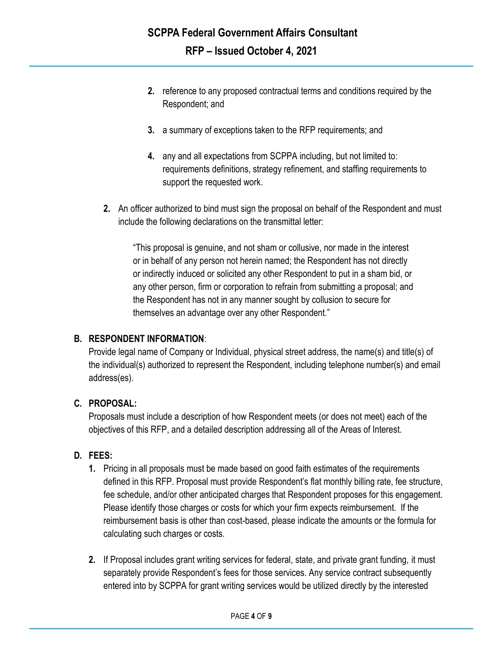- **2.** reference to any proposed contractual terms and conditions required by the Respondent; and
- **3.** a summary of exceptions taken to the RFP requirements; and
- **4.** any and all expectations from SCPPA including, but not limited to: requirements definitions, strategy refinement, and staffing requirements to support the requested work.
- **2.** An officer authorized to bind must sign the proposal on behalf of the Respondent and must include the following declarations on the transmittal letter:

"This proposal is genuine, and not sham or collusive, nor made in the interest or in behalf of any person not herein named; the Respondent has not directly or indirectly induced or solicited any other Respondent to put in a sham bid, or any other person, firm or corporation to refrain from submitting a proposal; and the Respondent has not in any manner sought by collusion to secure for themselves an advantage over any other Respondent."

## **B. RESPONDENT INFORMATION**:

Provide legal name of Company or Individual, physical street address, the name(s) and title(s) of the individual(s) authorized to represent the Respondent, including telephone number(s) and email address(es).

## **C. PROPOSAL:**

Proposals must include a description of how Respondent meets (or does not meet) each of the objectives of this RFP, and a detailed description addressing all of the Areas of Interest.

## **D. FEES:**

- **1.** Pricing in all proposals must be made based on good faith estimates of the requirements defined in this RFP. Proposal must provide Respondent's flat monthly billing rate, fee structure, fee schedule, and/or other anticipated charges that Respondent proposes for this engagement. Please identify those charges or costs for which your firm expects reimbursement. If the reimbursement basis is other than cost-based, please indicate the amounts or the formula for calculating such charges or costs.
- **2.** If Proposal includes grant writing services for federal, state, and private grant funding, it must separately provide Respondent's fees for those services. Any service contract subsequently entered into by SCPPA for grant writing services would be utilized directly by the interested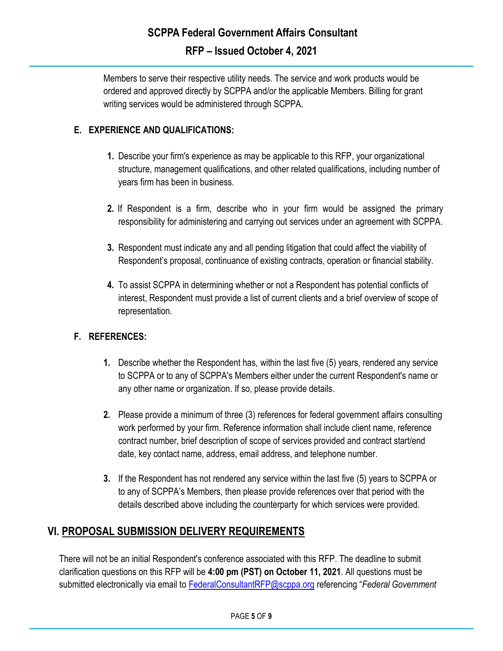Members to serve their respective utility needs. The service and work products would be ordered and approved directly by SCPPA and/or the applicable Members. Billing for grant writing services would be administered through SCPPA.

#### **E. EXPERIENCE AND QUALIFICATIONS:**

- **1.** Describe your firm's experience as may be applicable to this RFP, your organizational structure, management qualifications, and other related qualifications, including number of years firm has been in business.
- **2.** If Respondent is a firm, describe who in your firm would be assigned the primary responsibility for administering and carrying out services under an agreement with SCPPA.
- **3.** Respondent must indicate any and all pending litigation that could affect the viability of Respondent's proposal, continuance of existing contracts, operation or financial stability.
- **4.** To assist SCPPA in determining whether or not a Respondent has potential conflicts of interest, Respondent must provide a list of current clients and a brief overview of scope of representation.

#### **F. REFERENCES:**

- **1.** Describe whether the Respondent has, within the last five (5) years, rendered any service to SCPPA or to any of SCPPA's Members either under the current Respondent's name or any other name or organization. If so, please provide details.
- **2.** Please provide a minimum of three (3) references for federal government affairs consulting work performed by your firm. Reference information shall include client name, reference contract number, brief description of scope of services provided and contract start/end date, key contact name, address, email address, and telephone number.
- **3.** If the Respondent has not rendered any service within the last five (5) years to SCPPA or to any of SCPPA's Members, then please provide references over that period with the details described above including the counterparty for which services were provided.

# **VI. PROPOSAL SUBMISSION DELIVERY REQUIREMENTS**

There will not be an initial Respondent's conference associated with this RFP. The deadline to submit clarification questions on this RFP will be **4:00 pm (PST) on October 11, 2021**. All questions must be submitted electronically via email to [FederalConsultantRFP@scppa.org](mailto:FederalGovernmentAffairsConsultantRFP@scppa.org) referencing "*Federal Government*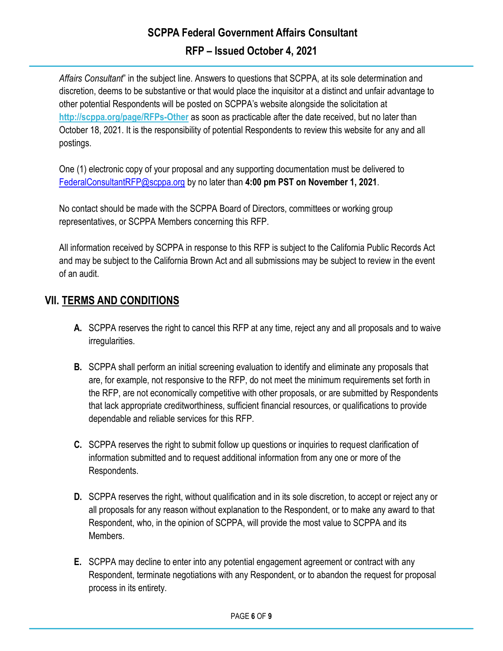# **SCPPA Federal Government Affairs Consultant RFP – Issued October 4, 2021**

*Affairs Consultant*" in the subject line. Answers to questions that SCPPA, at its sole determination and discretion, deems to be substantive or that would place the inquisitor at a distinct and unfair advantage to other potential Respondents will be posted on SCPPA's website alongside the solicitation at **<http://scppa.org/page/RFPs-Other>** as soon as practicable after the date received, but no later than October 18, 2021. It is the responsibility of potential Respondents to review this website for any and all postings.

One (1) electronic copy of your proposal and any supporting documentation must be delivered to [FederalConsultantRFP@scppa.org](mailto:FederalGovernmentAffairsConsultantRFP@scppa.org) by no later than **4:00 pm PST on November 1, 2021**.

No contact should be made with the SCPPA Board of Directors, committees or working group representatives, or SCPPA Members concerning this RFP.

All information received by SCPPA in response to this RFP is subject to the California Public Records Act and may be subject to the California Brown Act and all submissions may be subject to review in the event of an audit.

# **VII. TERMS AND CONDITIONS**

- **A.** SCPPA reserves the right to cancel this RFP at any time, reject any and all proposals and to waive irregularities.
- **B.** SCPPA shall perform an initial screening evaluation to identify and eliminate any proposals that are, for example, not responsive to the RFP, do not meet the minimum requirements set forth in the RFP, are not economically competitive with other proposals, or are submitted by Respondents that lack appropriate creditworthiness, sufficient financial resources, or qualifications to provide dependable and reliable services for this RFP.
- **C.** SCPPA reserves the right to submit follow up questions or inquiries to request clarification of information submitted and to request additional information from any one or more of the Respondents.
- **D.** SCPPA reserves the right, without qualification and in its sole discretion, to accept or reject any or all proposals for any reason without explanation to the Respondent, or to make any award to that Respondent, who, in the opinion of SCPPA, will provide the most value to SCPPA and its Members.
- **E.** SCPPA may decline to enter into any potential engagement agreement or contract with any Respondent, terminate negotiations with any Respondent, or to abandon the request for proposal process in its entirety.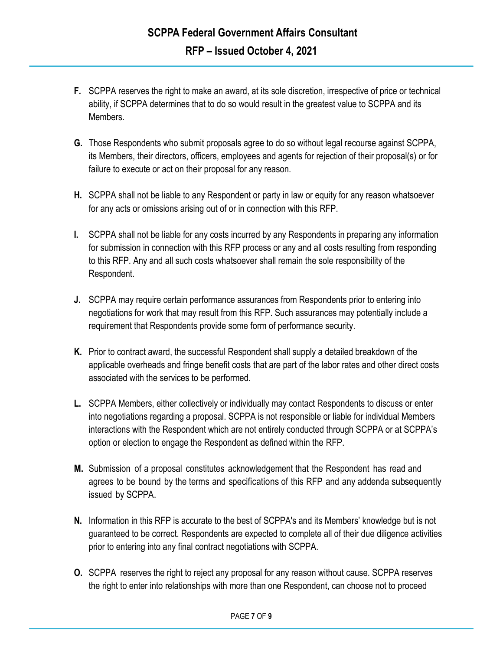- **F.** SCPPA reserves the right to make an award, at its sole discretion, irrespective of price or technical ability, if SCPPA determines that to do so would result in the greatest value to SCPPA and its Members.
- **G.** Those Respondents who submit proposals agree to do so without legal recourse against SCPPA, its Members, their directors, officers, employees and agents for rejection of their proposal(s) or for failure to execute or act on their proposal for any reason.
- **H.** SCPPA shall not be liable to any Respondent or party in law or equity for any reason whatsoever for any acts or omissions arising out of or in connection with this RFP.
- **I.** SCPPA shall not be liable for any costs incurred by any Respondents in preparing any information for submission in connection with this RFP process or any and all costs resulting from responding to this RFP. Any and all such costs whatsoever shall remain the sole responsibility of the Respondent.
- **J.** SCPPA may require certain performance assurances from Respondents prior to entering into negotiations for work that may result from this RFP. Such assurances may potentially include a requirement that Respondents provide some form of performance security.
- **K.** Prior to contract award, the successful Respondent shall supply a detailed breakdown of the applicable overheads and fringe benefit costs that are part of the labor rates and other direct costs associated with the services to be performed.
- **L.** SCPPA Members, either collectively or individually may contact Respondents to discuss or enter into negotiations regarding a proposal. SCPPA is not responsible or liable for individual Members interactions with the Respondent which are not entirely conducted through SCPPA or at SCPPA's option or election to engage the Respondent as defined within the RFP.
- **M.** Submission of a proposal constitutes acknowledgement that the Respondent has read and agrees to be bound by the terms and specifications of this RFP and any addenda subsequently issued by SCPPA.
- **N.** Information in this RFP is accurate to the best of SCPPA's and its Members' knowledge but is not guaranteed to be correct. Respondents are expected to complete all of their due diligence activities prior to entering into any final contract negotiations with SCPPA.
- **O.** SCPPA reserves the right to reject any proposal for any reason without cause. SCPPA reserves the right to enter into relationships with more than one Respondent, can choose not to proceed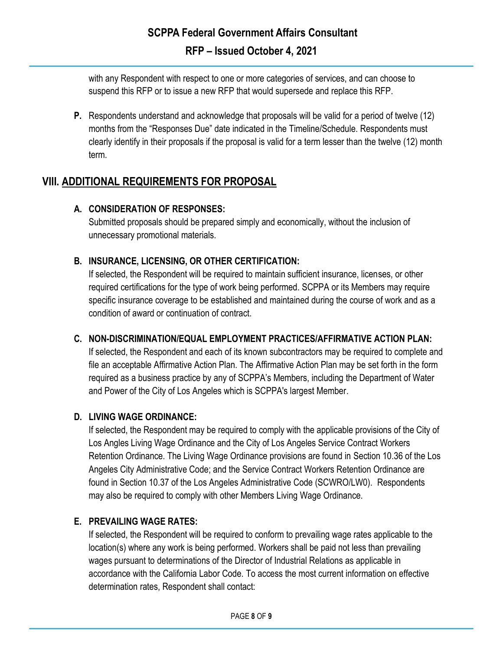with any Respondent with respect to one or more categories of services, and can choose to suspend this RFP or to issue a new RFP that would supersede and replace this RFP.

**P.** Respondents understand and acknowledge that proposals will be valid for a period of twelve (12) months from the "Responses Due" date indicated in the Timeline/Schedule. Respondents must clearly identify in their proposals if the proposal is valid for a term lesser than the twelve (12) month term.

# **VIII. ADDITIONAL REQUIREMENTS FOR PROPOSAL**

## **A. CONSIDERATION OF RESPONSES:**

Submitted proposals should be prepared simply and economically, without the inclusion of unnecessary promotional materials.

# **B. INSURANCE, LICENSING, OR OTHER CERTIFICATION:**

If selected, the Respondent will be required to maintain sufficient insurance, licenses, or other required certifications for the type of work being performed. SCPPA or its Members may require specific insurance coverage to be established and maintained during the course of work and as a condition of award or continuation of contract.

## **C. NON-DISCRIMINATION/EQUAL EMPLOYMENT PRACTICES/AFFIRMATIVE ACTION PLAN:**

If selected, the Respondent and each of its known subcontractors may be required to complete and file an acceptable Affirmative Action Plan. The Affirmative Action Plan may be set forth in the form required as a business practice by any of SCPPA's Members, including the Department of Water and Power of the City of Los Angeles which is SCPPA's largest Member.

## **D. LIVING WAGE ORDINANCE:**

If selected, the Respondent may be required to comply with the applicable provisions of the City of Los Angles Living Wage Ordinance and the City of Los Angeles Service Contract Workers Retention Ordinance. The Living Wage Ordinance provisions are found in Section 10.36 of the Los Angeles City Administrative Code; and the Service Contract Workers Retention Ordinance are found in Section 10.37 of the Los Angeles Administrative Code (SCWRO/LW0). Respondents may also be required to comply with other Members Living Wage Ordinance.

## **E. PREVAILING WAGE RATES:**

If selected, the Respondent will be required to conform to prevailing wage rates applicable to the location(s) where any work is being performed. Workers shall be paid not less than prevailing wages pursuant to determinations of the Director of Industrial Relations as applicable in accordance with the California Labor Code. To access the most current information on effective determination rates, Respondent shall contact: